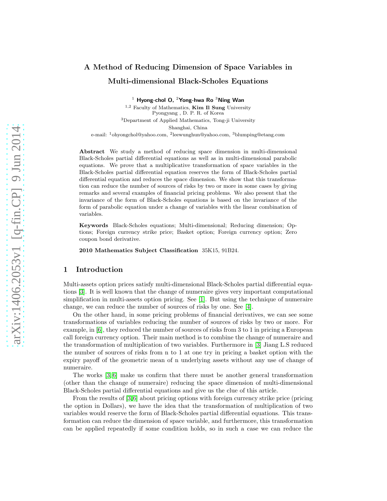$1$  Hyong-chol O,  $2$ Yong-hwa Ro  $3$ Ning Wan

 $1,2$  Faculty of Mathematics, Kim Il Sung University Pyongyang , D. P. R. of Korea <sup>3</sup>Department of Applied Mathematics, Tong-ji University Shanghai, China e-mail: <sup>1</sup>ohyongchol@yahoo.com, <sup>2</sup>leewunghun@yahoo.com, <sup>3</sup>blumping@etang.com

Abstract We study a method of reducing space dimension in multi-dimensional Black-Scholes partial differential equations as well as in multi-dimensional parabolic equations. We prove that a multiplicative transformation of space variables in the Black-Scholes partial differential equation reserves the form of Black-Scholes partial differential equation and reduces the space dimension. We show that this transformation can reduce the number of sources of risks by two or more in some cases by giving remarks and several examples of financial pricing problems. We also present that the invariance of the form of Black-Scholes equations is based on the invariance of the form of parabolic equation under a change of variables with the linear combination of variables.

Keywords Black-Scholes equations; Multi-dimensional; Reducing dimension; Options; Foreign currency strike price; Basket option; Foreign currency option; Zero coupon bond derivative.

2010 Mathematics Subject Classification 35K15, 91B24.

# 1 Introduction

Multi-assets option prices satisfy multi-dimensional Black-Scholes partial differential equations [\[3\]](#page-13-0). It is well known that the change of numeraire gives very important computational simplification in multi-assets option pricing. See [\[1\]](#page-13-1). But using the technique of numeraire change, we can reduce the number of sources of risks by one. See [\[4\]](#page-13-2).

On the other hand, in some pricing problems of financial derivatives, we can see some transformations of variables reducing the number of sources of risks by two or more. For example, in [\[6\]](#page-13-3), they reduced the number of sources of risks from 3 to 1 in pricing a European call foreign currency option. Their main method is to combine the change of numeraire and the transformation of multiplication of two variables. Furthermore in [\[3\]](#page-13-0) Jiang L.S reduced the number of sources of risks from n to 1 at one try in pricing a basket option with the expiry payoff of the geometric mean of n underlying assets without any use of change of numeraire.

The works [\[3,](#page-13-0) [6\]](#page-13-3) make us confirm that there must be another general transformation (other than the change of numeraire) reducing the space dimension of multi-dimensional Black-Scholes partial differential equations and give us the clue of this article.

From the results of [\[3,](#page-13-0)[6\]](#page-13-3) about pricing options with foreign currency strike price (pricing the option in Dollars), we have the idea that the transformation of multiplication of two variables would reserve the form of Black-Scholes partial differential equations. This transformation can reduce the dimension of space variable, and furthermore, this transformation can be applied repeatedly if some condition holds, so in such a case we can reduce the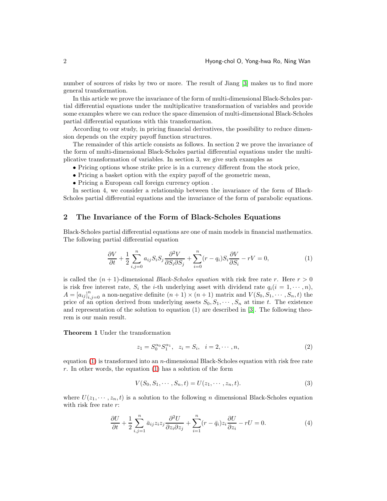number of sources of risks by two or more. The result of Jiang [\[3\]](#page-13-0) makes us to find more general transformation.

In this article we prove the invariance of the form of multi-dimensional Black-Scholes partial differential equations under the multiplicative transformation of variables and provide some examples where we can reduce the space dimension of multi-dimensional Black-Scholes partial differential equations with this transformation.

According to our study, in pricing financial derivatives, the possibility to reduce dimension depends on the expiry payoff function structures.

The remainder of this article consists as follows. In section 2 we prove the invariance of the form of multi-dimensional Black-Scholes partial differential equations under the multiplicative transformation of variables. In section 3, we give such examples as

- Pricing options whose strike price is in a currency different from the stock price,
- Pricing a basket option with the expiry payoff of the geometric mean,
- Pricing a European call foreign currency option .

In section 4, we consider a relationship between the invariance of the form of Black-Scholes partial differential equations and the invariance of the form of parabolic equations.

## 2 The Invariance of the Form of Black-Scholes Equations

Black-Scholes partial differential equations are one of main models in financial mathematics. The following partial differential equation

<span id="page-1-0"></span>
$$
\frac{\partial V}{\partial t} + \frac{1}{2} \sum_{i,j=0}^{n} a_{ij} S_i S_j \frac{\partial^2 V}{\partial S_i \partial S_j} + \sum_{i=0}^{n} (r - q_i) S_i \frac{\partial V}{\partial S_i} - rV = 0,
$$
\n(1)

is called the  $(n + 1)$ -dimensional *Black-Scholes equation* with risk free rate r. Here  $r > 0$ is risk free interest rate,  $S_i$  the *i*-th underlying asset with dividend rate  $q_i(i = 1, \dots, n)$ ,  $A = [a_{ij}]_{i,j=0}^n$  a non-negative definite  $(n+1) \times (n+1)$  matrix and  $V(S_0, \overrightarrow{S_1}, \dots, \overrightarrow{S_n}, t)$  the price of an option derived from underlying assets  $S_0, S_1, \dots, S_n$  at time t. The existence and representation of the solution to equation (1) are described in [\[3\]](#page-13-0). The following theorem is our main result.

Theorem 1 Under the transformation

<span id="page-1-3"></span>
$$
z_1 = S_0^{\alpha_0} S_1^{\alpha_1}, \quad z_i = S_i, \quad i = 2, \cdots, n,
$$
\n(2)

equation  $(1)$  is transformed into an *n*-dimensional Black-Scholes equation with risk free rate  $r$ . In other words, the equation  $(1)$  has a solution of the form

<span id="page-1-1"></span>
$$
V(S_0, S_1, \cdots, S_n, t) = U(z_1, \cdots, z_n, t).
$$
 (3)

where  $U(z_1, \dots, z_n, t)$  is a solution to the following n dimensional Black-Scholes equation with risk free rate  $r$ :

<span id="page-1-2"></span>
$$
\frac{\partial U}{\partial t} + \frac{1}{2} \sum_{i,j=1}^{n} \bar{a}_{ij} z_i z_j \frac{\partial^2 U}{\partial z_i \partial z_j} + \sum_{i=1}^{n} (r - \bar{q}_i) z_i \frac{\partial U}{\partial z_i} - rU = 0.
$$
 (4)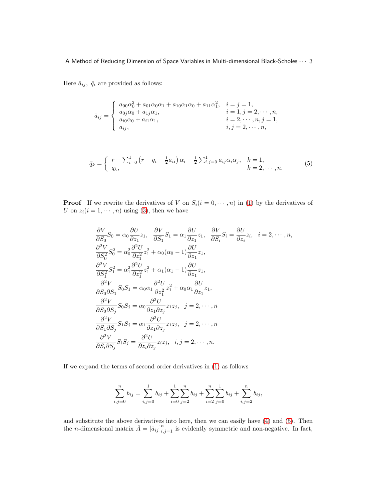Here  $\bar{a}_{ij},~\bar{q}_i$  are provided as follows:

$$
\bar{a}_{ij} = \begin{cases}\n a_{00}\alpha_0^2 + a_{01}\alpha_0\alpha_1 + a_{10}\alpha_1\alpha_0 + a_{11}\alpha_1^2, & i = j = 1, \\
a_{0j}\alpha_0 + a_{1j}\alpha_1, & i = 1, j = 2, \cdots, n, \\
a_{i0}\alpha_0 + a_{i1}\alpha_1, & i = 2, \cdots, n, j = 1, \\
a_{ij}, & i, j = 2, \cdots, n,\n\end{cases}
$$

<span id="page-2-0"></span>
$$
\bar{q}_k = \begin{cases}\n r - \sum_{i=0}^1 (r - q_i - \frac{1}{2} a_{ii}) \alpha_i - \frac{1}{2} \sum_{i,j=0}^1 a_{ij} \alpha_i \alpha_j, & k = 1, \\
q_k, & k = 2, \cdots, n.\n\end{cases}
$$
\n(5)

**Proof** If we rewrite the derivatives of V on  $S_i(i = 0, \dots, n)$  in [\(1\)](#page-1-0) by the derivatives of U on  $z_i(i = 1, \dots, n)$  using [\(3\)](#page-1-1), then we have

$$
\frac{\partial V}{\partial S_0} S_0 = \alpha_0 \frac{\partial U}{\partial z_1} z_1, \quad \frac{\partial V}{\partial S_1} S_1 = \alpha_1 \frac{\partial U}{\partial z_1} z_1, \quad \frac{\partial V}{\partial S_i} S_i = \frac{\partial U}{\partial z_i} z_i, \quad i = 2, \dots, n,
$$
  
\n
$$
\frac{\partial^2 V}{\partial S_0^2} S_0^2 = \alpha_0^2 \frac{\partial^2 U}{\partial z_1^2} z_1^2 + \alpha_0 (\alpha_0 - 1) \frac{\partial U}{\partial z_1} z_1,
$$
  
\n
$$
\frac{\partial^2 V}{\partial S_1^2} S_1^2 = \alpha_1^2 \frac{\partial^2 U}{\partial z_1^2} z_1^2 + \alpha_1 (\alpha_1 - 1) \frac{\partial U}{\partial z_1} z_1,
$$
  
\n
$$
\frac{\partial^2 V}{\partial S_0 \partial S_1} S_0 S_1 = \alpha_0 \alpha_1 \frac{\partial^2 U}{\partial z_1^2} z_1^2 + \alpha_0 \alpha_1 \frac{\partial U}{\partial z_1} z_1,
$$
  
\n
$$
\frac{\partial^2 V}{\partial S_0 \partial S_j} S_0 S_j = \alpha_0 \frac{\partial^2 U}{\partial z_1 \partial z_j} z_1 z_j, \quad j = 2, \dots, n,
$$
  
\n
$$
\frac{\partial^2 V}{\partial S_1 \partial S_j} S_1 S_j = \alpha_1 \frac{\partial^2 U}{\partial z_1 \partial z_j} z_1 z_j, \quad j = 2, \dots, n,
$$
  
\n
$$
\frac{\partial^2 V}{\partial S_i \partial S_j} S_i S_j = \frac{\partial^2 U}{\partial z_i \partial z_j} z_i z_j, \quad i, j = 2, \dots, n.
$$

If we expand the terms of second order derivatives in [\(1\)](#page-1-0) as follows

$$
\sum_{i,j=0}^{n} b_{ij} = \sum_{i,j=0}^{1} b_{ij} + \sum_{i=0}^{1} \sum_{j=2}^{n} b_{ij} + \sum_{i=2}^{n} \sum_{j=0}^{1} b_{ij} + \sum_{i,j=2}^{n} b_{ij},
$$

and substitute the above derivatives into here, then we can easily have [\(4\)](#page-1-2) and [\(5\)](#page-2-0). Then the *n*-dimensional matrix  $\bar{A} = [\bar{a}_{ij}]_{i,j=1}^n$  is evidently symmetric and non-negative. In fact,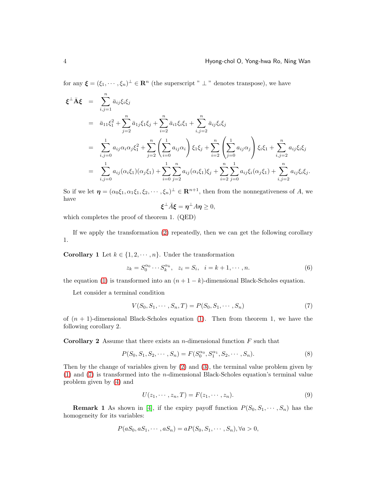for any  $\xi = (\xi_1, \dots, \xi_n)^\perp \in \mathbb{R}^n$  (the superscript "  $\perp$  " denotes transpose), we have

$$
\xi^{\perp} \overrightarrow{A} \xi = \sum_{i,j=1}^{n} \overline{a}_{ij} \xi_i \xi_j
$$
  
\n
$$
= \overline{a}_{11} \xi_1^2 + \sum_{j=2}^{n} \overline{a}_{1j} \xi_1 \xi_j + \sum_{i=2}^{n} \overline{a}_{i1} \xi_i \xi_1 + \sum_{i,j=2}^{n} \overline{a}_{ij} \xi_i \xi_j
$$
  
\n
$$
= \sum_{i,j=0}^{1} a_{ij} \alpha_i \alpha_j \xi_1^2 + \sum_{j=2}^{n} \left( \sum_{i=0}^{1} a_{ij} \alpha_i \right) \xi_1 \xi_j + \sum_{i=2}^{n} \left( \sum_{j=0}^{1} a_{ij} \alpha_j \right) \xi_i \xi_1 + \sum_{i,j=2}^{n} a_{ij} \xi_i \xi_j
$$
  
\n
$$
= \sum_{i,j=0}^{1} a_{ij} (\alpha_i \xi_1) (\alpha_j \xi_1) + \sum_{i=0}^{1} \sum_{j=2}^{n} a_{ij} (\alpha_i \xi_1) \xi_j + \sum_{i=2}^{n} \sum_{j=0}^{1} a_{ij} \xi_i (\alpha_j \xi_1) + \sum_{i,j=2}^{n} a_{ij} \xi_i \xi_j.
$$

So if we let  $\boldsymbol{\eta} = (\alpha_0 \xi_1, \alpha_1 \xi_1, \xi_2, \cdots, \xi_n)^{\perp} \in \mathbb{R}^{n+1}$ , then from the nonnegativeness of A, we have

$$
\xi^{\perp} \bar{A} \xi = \eta^{\perp} A \eta \geq 0,
$$

which completes the proof of theorem 1. (QED)

If we apply the transformation [\(2\)](#page-1-3) repeatedly, then we can get the following corollary 1.

**Corollary 1** Let  $k \in \{1, 2, \dots, n\}$ . Under the transformation

<span id="page-3-1"></span>
$$
z_k = S_0^{\alpha_0} \cdots S_k^{\alpha_k}, \quad z_i = S_i, \quad i = k+1, \cdots, n. \tag{6}
$$

the equation [\(1\)](#page-1-0) is transformed into an  $(n + 1 - k)$ -dimensional Black-Scholes equation.

Let consider a terminal condition

<span id="page-3-0"></span>
$$
V(S_0, S_1, \cdots, S_n, T) = P(S_0, S_1, \cdots, S_n)
$$
\n(7)

of  $(n + 1)$ -dimensional Black-Scholes equation [\(1\)](#page-1-0). Then from theorem 1, we have the following corollary 2.

**Corollary 2** Assume that there exists an *n*-dimensional function  $F$  such that

$$
P(S_0, S_1, S_2, \cdots, S_n) = F(S_0^{\alpha_0}, S_1^{\alpha_1}, S_2, \cdots, S_n).
$$
\n(8)

Then by the change of variables given by [\(2\)](#page-1-3) and [\(3\)](#page-1-1), the terminal value problem given by [\(1\)](#page-1-0) and [\(7\)](#page-3-0) is transformed into the n-dimensional Black-Scholes equation's terminal value problem given by [\(4\)](#page-1-2) and

$$
U(z_1, \cdots, z_n, T) = F(z_1, \cdots, z_n).
$$
\n<sup>(9)</sup>

**Remark 1** As shown in [\[4\]](#page-13-2), if the expiry payoff function  $P(S_0, S_1, \dots, S_n)$  has the homogeneity for its variables:

$$
P(aS_0, aS_1, \cdots, aS_n) = aP(S_0, S_1, \cdots, S_n), \forall a > 0,
$$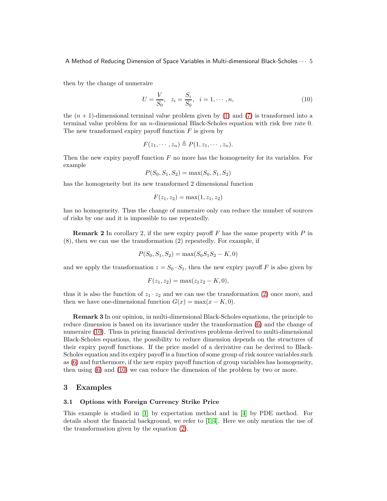then by the change of numeraire

<span id="page-4-0"></span>
$$
U = \frac{V}{S_0}, \quad z_i = \frac{S_i}{S_0}, \quad i = 1, \cdots, n,
$$
\n(10)

the  $(n + 1)$ -dimensional terminal value problem given by [\(1\)](#page-1-0) and [\(7\)](#page-3-0) is transformed into a terminal value problem for an n-dimensional Black-Scholes equation with risk free rate 0. The new transformed expiry payoff function  $F$  is given by

$$
F(z_1,\dots, z_n) \triangleq P(1, z_1, \dots, z_n).
$$

Then the new expiry payoff function  $F$  no more has the homogeneity for its variables. For example

$$
P(S_0, S_1, S_2) = \max(S_0, S_1, S_2)
$$

has the homogeneity but its new transformed 2 dimensional function

$$
F(z_1, z_2) = \max(1, z_1, z_2)
$$

has no homogeneity. Thus the change of numeraire only can reduce the number of sources of risks by one and it is impossible to use repeatedly.

**Remark 2** In corollary 2, if the new expiry payoff  $F$  has the same property with  $P$  in (8), then we can use the transformation (2) repeatedly. For example, if

$$
P(S_0, S_1, S_2) = \max(S_0 S_1 S_2 - K, 0)
$$

and we apply the transformation  $z = S_0 \cdot S_1$ , then the new expiry payoff F is also given by

$$
F(z_1, z_2) = \max(z_1 z_2 - K, 0),
$$

thus it is also the function of  $z_1 \cdot z_2$  and we can use the transformation [\(2\)](#page-1-3) once more, and then we have one-dimensional function  $G(x) = \max(x - K, 0)$ .

Remark 3 In our opinion, in multi-dimensional Black-Scholes equations, the principle to reduce dimension is based on its invariance under the transformation [\(6\)](#page-3-1) and the change of numeraire [\(10\)](#page-4-0). Thus in pricing financial derivatives problems derived to multi-dimensional Black-Scholes equations, the possibility to reduce dimension depends on the structures of their expiry payoff functions. If the price model of a derivative can be derived to Black-Scholes equation and its expiry payoff is a function of some group of risk source variables such as [\(6\)](#page-3-1) and furthermore, if the new expiry payoff function of group variables has homogeneity, then using [\(6\)](#page-3-1) and [\(10\)](#page-4-0) we can reduce the dimension of the problem by two or more.

## 3 Examples

#### 3.1 Options with Foreign Currency Strike Price

This example is studied in [\[1\]](#page-13-1) by expectation method and in [\[4\]](#page-13-2) by PDE method. For details about the financial background, we refer to  $[1, 4]$  $[1, 4]$ . Here we only mention the use of the transformation given by the equation [\(2\)](#page-1-3).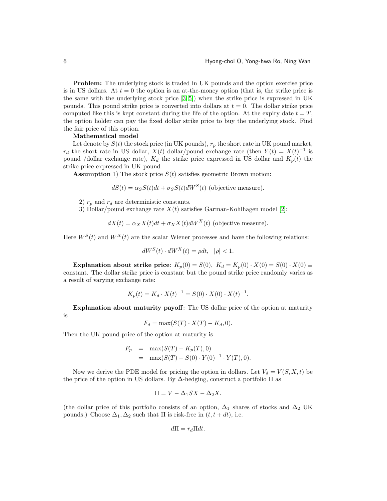Problem: The underlying stock is traded in UK pounds and the option exercise price is in US dollars. At  $t = 0$  the option is an at-the-money option (that is, the strike price is the same with the underlying stock price [\[3,](#page-13-0) [5\]](#page-13-4)) when the strike price is expressed in UK pounds. This pound strike price is converted into dollars at  $t = 0$ . The dollar strike price computed like this is kept constant during the life of the option. At the expiry date  $t = T$ . the option holder can pay the fixed dollar strike price to buy the underlying stock. Find the fair price of this option.

#### Mathematical model

Let denote by  $S(t)$  the stock price (in UK pounds),  $r_p$  the short rate in UK pound market,  $r_d$  the short rate in US dollar,  $X(t)$  dollar/pound exchange rate (then  $Y(t) = X(t)^{-1}$  is pound /dollar exchange rate),  $K_d$  the strike price expressed in US dollar and  $K_p(t)$  the strike price expressed in UK pound.

**Assumption** 1) The stock price  $S(t)$  satisfies geometric Brown motion:

$$
dS(t) = \alpha_S S(t)dt + \sigma_S S(t)dW^S(t)
$$
 (objective measure).

2)  $r_p$  and  $r_d$  are deterministic constants.

3) Dollar/pound exchange rate  $X(t)$  satisfies Garman-Kohlhagen model [\[2\]](#page-13-5):

$$
dX(t) = \alpha_X X(t)dt + \sigma_X X(t)dW^X(t)
$$
 (objective measure).

Here  $W^{S}(t)$  and  $W^{X}(t)$  are the scalar Wiener processes and have the following relations:

$$
dW^S(t) \cdot dW^X(t) = \rho dt, \quad |\rho| < 1.
$$

Explanation about strike price:  $K_p(0) = S(0)$ ,  $K_d = K_p(0) \cdot X(0) = S(0) \cdot X(0) \equiv$ constant. The dollar strike price is constant but the pound strike price randomly varies as a result of varying exchange rate:

$$
K_p(t) = K_d \cdot X(t)^{-1} = S(0) \cdot X(0) \cdot X(t)^{-1}.
$$

Explanation about maturity payoff: The US dollar price of the option at maturity is

$$
F_d = \max(S(T) \cdot X(T) - K_d, 0).
$$

Then the UK pound price of the option at maturity is

$$
F_p = \max(S(T) - K_p(T), 0)
$$
  
= 
$$
\max(S(T) - S(0) \cdot Y(0)^{-1} \cdot Y(T), 0).
$$

Now we derive the PDE model for pricing the option in dollars. Let  $V_d = V(S, X, t)$  be the price of the option in US dollars. By  $\Delta$ -hedging, construct a portfolio  $\Pi$  as

$$
\Pi = V - \Delta_1 SX - \Delta_2 X.
$$

(the dollar price of this portfolio consists of an option,  $\Delta_1$  shares of stocks and  $\Delta_2$  UK pounds.) Choose  $\Delta_1, \Delta_2$  such that  $\Pi$  is risk-free in  $(t, t + dt)$ , i.e.

$$
d\Pi = r_d \Pi dt.
$$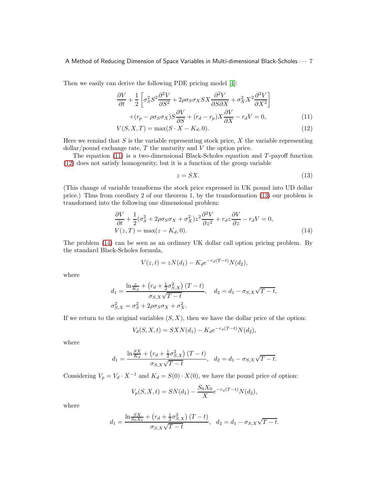Then we easily can derive the following PDE pricing model [\[4\]](#page-13-2):

<span id="page-6-0"></span>
$$
\frac{\partial V}{\partial t} + \frac{1}{2} \left[ \sigma_S^2 S^2 \frac{\partial^2 V}{\partial S^2} + 2 \rho \sigma_S \sigma_X S X \frac{\partial^2 V}{\partial S \partial X} + \sigma_X^2 X^2 \frac{\partial^2 V}{\partial X^2} \right] \n+ (r_p - \rho \sigma_S \sigma_X) S \frac{\partial V}{\partial S} + (r_d - r_p) X \frac{\partial V}{\partial X} - r_d V = 0,
$$
\n(11)

$$
V(S, X, T) = \max(S \cdot X - K_d, 0). \tag{12}
$$

Here we remind that  $S$  is the variable representing stock price,  $X$  the variable representing  $\text{dollar/pound exchange rate}, T \text{ the maturity and } V \text{ the option price.}$ 

The equation  $(11)$  is a two-dimensional Black-Scholes equation and T-payoff function [\(12\)](#page-6-0) does not satisfy homogeneity, but it is a function of the group variable

<span id="page-6-1"></span>
$$
z = SX.
$$
 (13)

(This change of variable transforms the stock price expressed in UK pound into UD dollar price.) Thus from corollary 2 of our theorem 1, by the transformation [\(13\)](#page-6-1) our problem is transformed into the following one dimensional problem:

<span id="page-6-2"></span>
$$
\frac{\partial V}{\partial t} + \frac{1}{2} (\sigma_S^2 + 2\rho \sigma_S \sigma_X + \sigma_X^2) z^2 \frac{\partial^2 V}{\partial z^2} + r_d z \frac{\partial V}{\partial z} - r_d V = 0,
$$
  
\n
$$
V(z, T) = \max(z - K_d, 0).
$$
\n(14)

The problem [\(14\)](#page-6-2) can be seen as an ordinary UK dollar call option pricing problem. By the standard Black-Scholes formula,

$$
V(z,t) = zN(d_1) - K_d e^{-r_d(T-t)} N(d_2),
$$

where

$$
d_1 = \frac{\ln \frac{z}{K_d} + \left(r_d + \frac{1}{2}\sigma_{S,X}^2\right)(T - t)}{\sigma_{S,X}\sqrt{T - t}}, \quad d_2 = d_1 - \sigma_{S,X}\sqrt{T - t},
$$
  

$$
\sigma_{S,X}^2 = \sigma_S^2 + 2\rho\sigma_S\sigma_X + \sigma_X^2.
$$

If we return to the original variables  $(S, X)$ , then we have the dollar price of the option:

$$
V_d(S, X, t) = S X N(d_1) - K_d e^{-r_d(T-t)} N(d_2),
$$

where

$$
d_1 = \frac{\ln \frac{SX}{K_d} + (r_d + \frac{1}{2}\sigma_{S,X}^2)(T-t)}{\sigma_{S,X}\sqrt{T-t}}, \ \ d_2 = d_1 - \sigma_{S,X}\sqrt{T-t}.
$$

Considering  $V_p = V_d \cdot X^{-1}$  and  $K_d = S(0) \cdot X(0)$ , we have the pound price of option:

$$
V_p(S, X, t) = SN(d_1) - \frac{S_0 X_0}{X} e^{-r_d(T-t)} N(d_2),
$$

where

$$
d_1 = \frac{\ln \frac{SX}{S_0X_0} + (r_d + \frac{1}{2}\sigma_{S,X}^2)(T-t)}{\sigma_{S,X}\sqrt{T-t}}, \ \ d_2 = d_1 - \sigma_{S,X}\sqrt{T-t}.
$$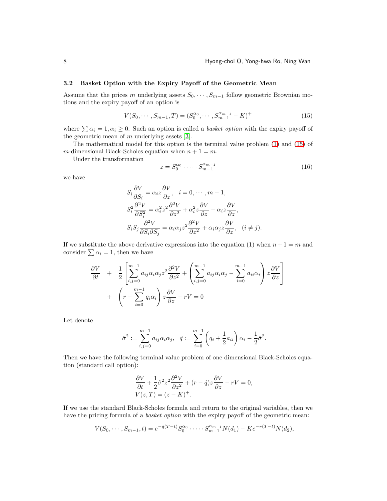## 3.2 Basket Option with the Expiry Payoff of the Geometric Mean

Assume that the prices m underlying assets  $S_0, \cdots, S_{m-1}$  follow geometric Brownian motions and the expiry payoff of an option is

<span id="page-7-0"></span>
$$
V(S_0, \cdots, S_{m-1}, T) = (S_0^{\alpha_0}, \cdots, S_{m-1}^{\alpha_{m-1}} - K)^+
$$
(15)

where  $\sum \alpha_i = 1, \alpha_i \geq 0$ . Such an option is called a *basket option* with the expiry payoff of the geometric mean of  $m$  underlying assets [\[3\]](#page-13-0).

The mathematical model for this option is the terminal value problem [\(1\)](#page-1-0) and [\(15\)](#page-7-0) of m-dimensional Black-Scholes equation when  $n + 1 = m$ .

Under the transformation

$$
z = S_0^{\alpha_0} \cdot \dots \cdot S_{m-1}^{\alpha_{m-1}} \tag{16}
$$

we have

$$
S_i \frac{\partial V}{\partial S_i} = \alpha_i z \frac{\partial V}{\partial z}, \quad i = 0, \dots, m - 1,
$$
  
\n
$$
S_i^2 \frac{\partial^2 V}{\partial S_i^2} = \alpha_i^2 z^2 \frac{\partial^2 V}{\partial z^2} + \alpha_i^2 z \frac{\partial V}{\partial z} - \alpha_i z \frac{\partial V}{\partial z},
$$
  
\n
$$
S_i S_j \frac{\partial^2 V}{\partial S_i \partial S_j} = \alpha_i \alpha_j z^2 \frac{\partial^2 V}{\partial z^2} + \alpha_i \alpha_j z \frac{\partial V}{\partial z}, \quad (i \neq j).
$$

If we substitute the above derivative expressions into the equation (1) when  $n + 1 = m$  and consider  $\sum \alpha_i = 1$ , then we have

$$
\frac{\partial V}{\partial t} + \frac{1}{2} \left[ \sum_{i,j=0}^{m-1} a_{ij} \alpha_i \alpha_j z^2 \frac{\partial^2 V}{\partial z^2} + \left( \sum_{i,j=0}^{m-1} a_{ij} \alpha_i \alpha_j - \sum_{i=0}^{m-1} a_{ii} \alpha_i \right) z \frac{\partial V}{\partial z} \right] + \left( r - \sum_{i=0}^{m-1} q_i \alpha_i \right) z \frac{\partial V}{\partial z} - rV = 0
$$

Let denote

$$
\hat{\sigma}^2 := \sum_{i,j=0}^{m-1} a_{ij} \alpha_i \alpha_j, \quad \hat{q} := \sum_{i=0}^{m-1} \left( q_i + \frac{1}{2} a_{ii} \right) \alpha_i - \frac{1}{2} \hat{\sigma}^2.
$$

Then we have the following terminal value problem of one dimensional Black-Scholes equation (standard call option):

$$
\frac{\partial V}{\partial t} + \frac{1}{2}\hat{\sigma}^2 z^2 \frac{\partial^2 V}{\partial z^2} + (r - \hat{q})z \frac{\partial V}{\partial z} - rV = 0,
$$
  

$$
V(z, T) = (z - K)^+.
$$

If we use the standard Black-Scholes formula and return to the original variables, then we have the pricing formula of a *basket option* with the expiry payoff of the geometric mean:

$$
V(S_0, \cdots, S_{m-1}, t) = e^{-\hat{q}(T-t)} S_0^{\alpha_0} \cdots S_{m-1}^{\alpha_{m-1}} N(d_1) - K e^{-r(T-t)} N(d_2),
$$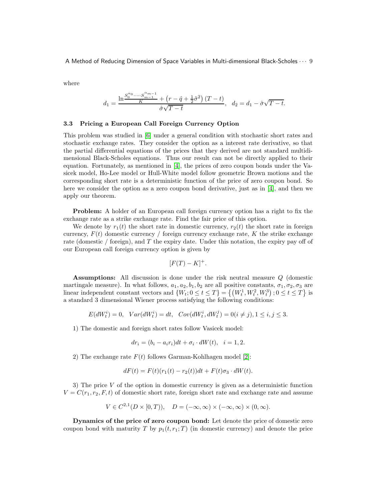where

$$
d_1 = \frac{\ln \frac{S_0^{\alpha_0} \cdot \dots \cdot S_{m-1}^{\alpha_{m-1}}}{K} + (r - \hat{q} + \frac{1}{2}\hat{\sigma}^2) (T - t)}{\hat{\sigma}\sqrt{T - t}}, \quad d_2 = d_1 - \hat{\sigma}\sqrt{T - t}.
$$

#### 3.3 Pricing a European Call Foreign Currency Option

This problem was studied in [\[6\]](#page-13-3) under a general condition with stochastic short rates and stochastic exchange rates. They consider the option as a interest rate derivative, so that the partial differential equations of the prices that they derived are not standard multidimensional Black-Scholes equations. Thus our result can not be directly applied to their equation. Fortunately, as mentioned in [\[4\]](#page-13-2), the prices of zero coupon bonds under the Vasicek model, Ho-Lee model or Hull-White model follow geometric Brown motions and the corresponding short rate is a deterministic function of the price of zero coupon bond. So here we consider the option as a zero coupon bond derivative, just as in [\[4\]](#page-13-2), and then we apply our theorem.

Problem: A holder of an European call foreign currency option has a right to fix the exchange rate as a strike exchange rate. Find the fair price of this option.

We denote by  $r_1(t)$  the short rate in domestic currency,  $r_2(t)$  the short rate in foreign currency,  $F(t)$  domestic currency / foreign currency exchange rate, K the strike exchange rate (domestic / foreign), and T the expiry date. Under this notation, the expiry pay off of our European call foreign currency option is given by

$$
[F(T) - K]^+.
$$

Assumptions: All discussion is done under the risk neutral measure Q (domestic martingale measure). In what follows,  $a_1, a_2, b_1, b_2$  are all positive constants,  $\sigma_1, \sigma_2, \sigma_3$  are linear independent constant vectors and  $\{W_t; 0 \le t \le T\} = \{(W_t^1, W_t^2, W_t^3); 0 \le t \le T\}$  is a standard 3 dimensional Wiener process satisfying the following conditions:

$$
E(dW_t^i) = 0, \ \ Var(dW_t^i) = dt, \ \ Cov(dW_t^i, dW_t^j) = 0 (i \neq j), 1 \leq i, j \leq 3.
$$

1) The domestic and foreign short rates follow Vasicek model:

$$
dr_i = (b_i - a_i r_i)dt + \sigma_i \cdot dW(t), \quad i = 1, 2.
$$

2) The exchange rate  $F(t)$  follows Garman-Kohlhagen model [\[2\]](#page-13-5):

$$
dF(t) = F(t)(r1(t) - r2(t))dt + F(t)\sigma3 \cdot dW(t).
$$

3) The price  $V$  of the option in domestic currency is given as a deterministic function  $V = C(r_1, r_2, F, t)$  of domestic short rate, foreign short rate and exchange rate and assume

$$
V \in C^{2,1}(D \times [0,T)), \quad D = (-\infty, \infty) \times (-\infty, \infty) \times (0, \infty).
$$

Dynamics of the price of zero coupon bond: Let denote the price of domestic zero coupon bond with maturity T by  $p_1(t, r_1; T)$  (in domestic currency) and denote the price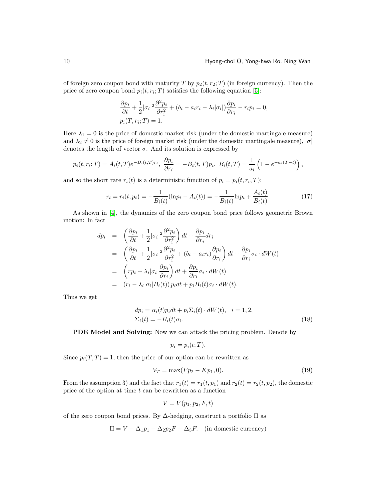of foreign zero coupon bond with maturity T by  $p_2(t, r_2; T)$  (in foreign currency). Then the price of zero coupon bond  $p_i(t, r_i; T)$  satisfies the following equation [\[5\]](#page-13-4):

$$
\frac{\partial p_i}{\partial t} + \frac{1}{2} |\sigma_i|^2 \frac{\partial^2 p_i}{\partial r_i^2} + (b_i - a_i r_i - \lambda_i |\sigma_i|) \frac{\partial p_i}{\partial r_i} - r_i p_i = 0,
$$
  

$$
p_i(T, r_i; T) = 1.
$$

Here  $\lambda_1 = 0$  is the price of domestic market risk (under the domestic martingale measure) and  $\lambda_2 \neq 0$  is the price of foreign market risk (under the domestic martingale measure),  $|\sigma|$ denotes the length of vector  $\sigma$ . And its solution is expressed by

$$
p_i(t, r_i; T) = A_i(t, T)e^{-B_i(t, T)r_i}, \frac{\partial p_i}{\partial r_i} = -B_i(t, T)p_i, B_i(t, T) = \frac{1}{a_i} \left(1 - e^{-a_i(T - t)}\right),
$$

and so the short rate  $r_i(t)$  is a deterministic function of  $p_i = p_i(t, r_i, T)$ :

<span id="page-9-2"></span>
$$
r_i = r_i(t, p_i) = -\frac{1}{B_i(t)}(\ln p_i - A_i(t)) = -\frac{1}{B_i(t)}\ln p_i + \frac{A_i(t)}{B_i(t)}.\tag{17}
$$

As shown in [\[4\]](#page-13-2), the dynamics of the zero coupon bond price follows geometric Brown motion: In fact

$$
dp_i = \left(\frac{\partial p_i}{\partial t} + \frac{1}{2}|\sigma_i|^2 \frac{\partial^2 p_i}{\partial r_i^2}\right) dt + \frac{\partial p_i}{\partial r_i} dr_i
$$
  
\n
$$
= \left(\frac{\partial p_i}{\partial t} + \frac{1}{2}|\sigma_i|^2 \frac{\partial^2 p_i}{\partial r_i^2} + (b_i - a_i r_i) \frac{\partial p_i}{\partial r_i}\right) dt + \frac{\partial p_i}{\partial r_i} \sigma_i \cdot dW(t)
$$
  
\n
$$
= \left(r p_i + \lambda_i |\sigma_i| \frac{\partial p_i}{\partial r_i}\right) dt + \frac{\partial p_i}{\partial r_i} \sigma_i \cdot dW(t)
$$
  
\n
$$
= (r_i - \lambda_i |\sigma_i| B_i(t)) p_i dt + p_i B_i(t) \sigma_i \cdot dW(t).
$$

Thus we get

<span id="page-9-1"></span>
$$
dp_i = \alpha_i(t)p_i dt + p_i \Sigma_i(t) \cdot dW(t), \quad i = 1, 2,
$$
  
\n
$$
\Sigma_i(t) = -B_i(t)\sigma_i.
$$
\n(18)

PDE Model and Solving: Now we can attack the pricing problem. Denote by

$$
p_i = p_i(t;T).
$$

Since  $p_i(T, T) = 1$ , then the price of our option can be rewritten as

<span id="page-9-0"></span>
$$
V_T = \max(Fp_2 - Kp_1, 0). \tag{19}
$$

From the assumption 3) and the fact that  $r_1(t) = r_1(t, p_1)$  and  $r_2(t) = r_2(t, p_2)$ , the domestic price of the option at time t can be rewritten as a function

$$
V = V(p_1, p_2, F, t)
$$

of the zero coupon bond prices. By  $\Delta$ -hedging, construct a portfolio  $\Pi$  as

$$
\Pi = V - \Delta_1 p_1 - \Delta_2 p_2 F - \Delta_3 F.
$$
 (in domestic currency)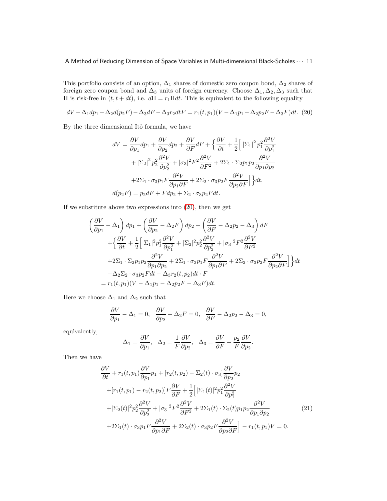This portfolio consists of an option,  $\Delta_1$  shares of domestic zero coupon bond,  $\Delta_2$  shares of foreign zero coupon bond and  $\Delta_3$  units of foreign currency. Choose  $\Delta_1, \Delta_2, \Delta_3$  such that Π is risk-free in  $(t, t + dt)$ , i.e.  $d\Pi = r_1 \Pi dt$ . This is equivalent to the following equality

<span id="page-10-0"></span>
$$
dV - \Delta_1 dp_1 - \Delta_2 d(p_2 F) - \Delta_3 dF - \Delta_3 r_2 dt = r_1(t, p_1)(V - \Delta_1 p_1 - \Delta_2 p_2 F - \Delta_3 F)dt.
$$
 (20)

By the three dimensional Itô formula, we have

$$
dV = \frac{\partial V}{\partial p_1} dp_1 + \frac{\partial V}{\partial p_2} dp_2 + \frac{\partial V}{\partial F} dF + \left\{ \frac{\partial V}{\partial t} + \frac{1}{2} \right[ \left| \Sigma_1 \right|^2 p_1^2 \frac{\partial^2 V}{\partial p_1^2} + \left| \Sigma_2 \right|^2 p_2^2 \frac{\partial^2 V}{\partial p_2^2} + \left| \sigma_3 \right|^2 F^2 \frac{\partial^2 V}{\partial F^2} + 2 \Sigma_1 \cdot \Sigma_2 p_1 p_2 \frac{\partial^2 V}{\partial p_1 \partial p_2} + 2 \Sigma_1 \cdot \sigma_3 p_1 F \frac{\partial^2 V}{\partial p_1 \partial F} + 2 \Sigma_2 \cdot \sigma_3 p_2 F \frac{\partial^2 V}{\partial p_2 \partial F} \right\} dt,
$$
  

$$
d(p_2 F) = p_2 dF + F dp_2 + \Sigma_2 \cdot \sigma_3 p_2 F dt.
$$

If we substitute above two expressions into [\(20\)](#page-10-0), then we get

$$
\left(\frac{\partial V}{\partial p_1} - \Delta_1\right) dp_1 + \left(\frac{\partial V}{\partial p_2} - \Delta_2 F\right) dp_2 + \left(\frac{\partial V}{\partial F} - \Delta_2 p_2 - \Delta_3\right) dF
$$
  
+ 
$$
\left\{\frac{\partial V}{\partial t} + \frac{1}{2} \Big[|\Sigma_1|^2 p_1^2 \frac{\partial^2 V}{\partial p_1^2} + |\Sigma_2|^2 p_2^2 \frac{\partial^2 V}{\partial p_2^2} + |\sigma_3|^2 F^2 \frac{\partial^2 V}{\partial F^2}
$$
  
+2\Sigma\_1 \cdot \Sigma\_2 p\_1 p\_2 \frac{\partial^2 V}{\partial p\_1 \partial p\_2} + 2\Sigma\_1 \cdot \sigma\_3 p\_1 F \frac{\partial^2 V}{\partial p\_1 \partial F} + 2\Sigma\_2 \cdot \sigma\_3 p\_2 F \frac{\partial^2 V}{\partial p\_2 \partial F}\Big]\right\} dt  
- \Delta\_2 \Sigma\_2 \cdot \sigma\_3 p\_2 F dt - \Delta\_3 r\_2(t, p\_2) dt \cdot F  
= r\_1(t, p\_1)(V - \Delta\_1 p\_1 - \Delta\_2 p\_2 F - \Delta\_3 F) dt.

Here we choose  $\Delta_1$  and  $\Delta_2$  such that

$$
\frac{\partial V}{\partial p_1} - \Delta_1 = 0, \quad \frac{\partial V}{\partial p_2} - \Delta_2 F = 0, \quad \frac{\partial V}{\partial F} - \Delta_2 p_2 - \Delta_3 = 0,
$$

equivalently,

$$
\Delta_1 = \frac{\partial V}{\partial p_1}, \quad \Delta_2 = \frac{1}{F} \frac{\partial V}{\partial p_2}, \quad \Delta_3 = \frac{\partial V}{\partial F} - \frac{p_2}{F} \frac{\partial V}{\partial p_2}.
$$

Then we have

<span id="page-10-1"></span>
$$
\frac{\partial V}{\partial t} + r_1(t, p_1) \frac{\partial V}{\partial p_1} p_1 + [r_2(t, p_2) - \Sigma_2(t) \cdot \sigma_3] \frac{\partial V}{\partial p_2} p_2 \n+ [r_1(t, p_1) - r_2(t, p_2)] F \frac{\partial V}{\partial F} + \frac{1}{2} \Big[ |\Sigma_1(t)|^2 p_1^2 \frac{\partial^2 V}{\partial p_1^2} \n+ [\Sigma_2(t)]^2 p_2^2 \frac{\partial^2 V}{\partial p_2^2} + |\sigma_3|^2 F^2 \frac{\partial^2 V}{\partial F^2} + 2\Sigma_1(t) \cdot \Sigma_2(t) p_1 p_2 \frac{\partial^2 V}{\partial p_1 \partial p_2} \n+ 2\Sigma_1(t) \cdot \sigma_3 p_1 F \frac{\partial^2 V}{\partial p_1 \partial F} + 2\Sigma_2(t) \cdot \sigma_3 p_2 F \frac{\partial^2 V}{\partial p_2 \partial F} \Big] - r_1(t, p_1) V = 0.
$$
\n(21)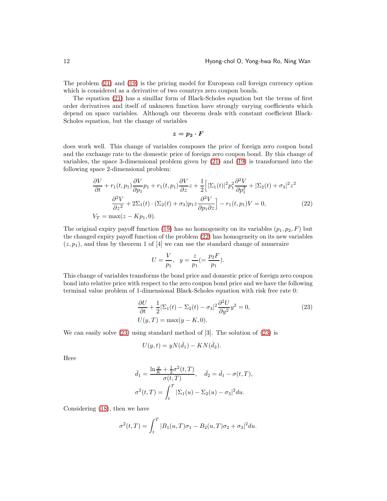The problem [\(21\)](#page-10-1) and [\(19\)](#page-9-0) is the pricing model for European call foreign currency option which is considered as a derivative of two countrys zero coupon bonds.

The equation [\(21\)](#page-10-1) has a simillar form of Black-Scholes equation but the terms of first order derivatives and itself of unknown function have strongly varying coefficients which depend on space variables. Although our theorem deals with constant coefficient Black-Scholes equation, but the change of variables

$$
z=p_2\cdot F
$$

does work well. This change of variables composes the price of foreign zero coupon bond and the exchange rate to the domestic price of foreign zero coupon bond. By this change of variables, the space 3-dimensional problem given by [\(21\)](#page-10-1) and [\(19\)](#page-9-0) is transformed into the following space 2-dimensional problem:

<span id="page-11-0"></span>
$$
\frac{\partial V}{\partial t} + r_1(t, p_1) \frac{\partial V}{\partial p_1} p_1 + r_1(t, p_1) \frac{\partial V}{\partial z} z + \frac{1}{2} \Big[ |\Sigma_1(t)|^2 p_1^2 \frac{\partial^2 V}{\partial p_1^2} + |\Sigma_2(t) + \sigma_3|^2 z^2
$$

$$
\frac{\partial^2 V}{\partial z^2} + 2\Sigma_1(t) \cdot (\Sigma_2(t) + \sigma_3) p_1 z \frac{\partial^2 V}{\partial p_1 \partial z} \Big] - r_1(t, p_1) V = 0,
$$
(22)  

$$
V_T = \max(z - K p_1, 0).
$$

The original expiry payoff function [\(19\)](#page-9-0) has no homogeneity on its variables  $(p_1, p_2, F)$  but the changed expiry payoff function of the problem [\(22\)](#page-11-0) has homogeneity on its new variables  $(z, p_1)$ , and thus by theorem 1 of [4] we can use the standard change of numeraire

$$
U = \frac{V}{p_1}, \quad y = \frac{z}{p_1} (=\frac{p_2 F}{p_1}).
$$

This change of variables transforms the bond price and domestic price of foreign zero coupon bond into relative price with respect to the zero coupon bond price and we have the following terminal value problem of 1-dimensional Black-Scholes equation with risk free rate 0:

<span id="page-11-1"></span>
$$
\frac{\partial U}{\partial t} + \frac{1}{2} |\Sigma_1(t) - \Sigma_2(t) - \sigma_3|^2 \frac{\partial^2 U}{\partial y^2} y^2 = 0,
$$
\n
$$
U(y, T) = \max(y - K, 0).
$$
\n(23)

We can easily solve [\(23\)](#page-11-1) using standard method of [3]. The solution of [\(23\)](#page-11-1) is

$$
U(y,t) = yN(\bar{d}_1) - KN(\bar{d}_2).
$$

Here

$$
\bar{d}_1 = \frac{\ln \frac{y}{K} + \frac{1}{2}\sigma^2(t, T)}{\sigma(t, T)}, \quad \bar{d}_2 = \bar{d}_1 - \sigma(t, T),
$$

$$
\sigma^2(t, T) = \int_t^T |\Sigma_1(u) - \Sigma_2(u) - \sigma_3|^2 du.
$$

Considering [\(18\)](#page-9-1), then we have

$$
\sigma^{2}(t,T) = \int_{t}^{T} |B_{1}(u,T)\sigma_{1} - B_{2}(u,T)\sigma_{2} + \sigma_{3}|^{2} du.
$$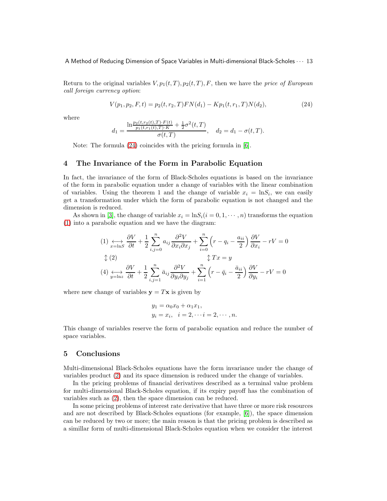Return to the original variables  $V, p_1(t, T), p_2(t, T), F$ , then we have the *price of European* call foreign currency option:

<span id="page-12-0"></span>
$$
V(p_1, p_2, F, t) = p_2(t, r_2, T) F N(d_1) - K p_1(t, r_1, T) N(d_2),
$$
\n(24)

where

$$
d_1 = \frac{\ln \frac{p_2(t, r_2(t), T) \cdot F(t)}{p_1(t, r_1(t), T) \cdot K} + \frac{1}{2} \sigma^2(t, T)}{\sigma(t, T)}, \quad d_2 = d_1 - \sigma(t, T).
$$

Note: The formula [\(24\)](#page-12-0) coincides with the pricing formula in [\[6\]](#page-13-3).

# 4 The Invariance of the Form in Parabolic Equation

In fact, the invariance of the form of Black-Scholes equations is based on the invariance of the form in parabolic equation under a change of variables with the linear combination of variables. Using the theorem 1 and the change of variable  $x_i = \ln S_i$ , we can easily get a transformation under which the form of parabolic equation is not changed and the dimension is reduced.

As shown in [\[3\]](#page-13-0), the change of variable  $x_i = \ln S_i (i = 0, 1, \dots, n)$  transforms the equation [\(1\)](#page-1-0) into a parabolic equation and we have the diagram:

$$
(1) \underset{x=\ln S}{\longleftrightarrow} \frac{\partial V}{\partial t} + \frac{1}{2} \sum_{i,j=0}^{n} a_{ij} \frac{\partial^2 V}{\partial x_i \partial x_j} + \sum_{i=0}^{n} \left( r - q_i - \frac{a_{ii}}{2} \right) \frac{\partial V}{\partial x_i} - rV = 0
$$
  

$$
(2) \qquad \qquad \downarrow Tx = y
$$
  

$$
(4) \underset{y=\ln z}{\longleftrightarrow} \frac{\partial V}{\partial t} + \frac{1}{2} \sum_{i,j=1}^{n} \bar{a}_{ij} \frac{\partial^2 V}{\partial y_i \partial y_j} + \sum_{i=1}^{n} \left( r - \bar{q}_i - \frac{\bar{a}_{ii}}{2} \right) \frac{\partial V}{\partial y_i} - rV = 0
$$

where new change of variables  $y = Tx$  is given by

$$
y_1 = \alpha_0 x_0 + \alpha_1 x_1,
$$
  
\n $y_i = x_i, \quad i = 2, \dots, i = 2, \dots, n.$ 

This change of variables reserve the form of parabolic equation and reduce the number of space variables.

# 5 Conclusions

Multi-dimensional Black-Scholes equations have the form invariance under the change of variables product [\(2\)](#page-1-3) and its space dimension is reduced under the change of variables.

In the pricing problems of financial derivatives described as a terminal value problem for multi-dimensional Black-Scholes equation, if its expiry payoff has the combination of variables such as [\(2\)](#page-1-3), then the space dimension can be reduced.

In some pricing problems of interest rate derivative that have three or more risk resources and are not described by Black-Scholes equations (for example, [\[6\]](#page-13-3)), the space dimension can be reduced by two or more; the main reason is that the pricing problem is described as a simillar form of multi-dimensional Black-Scholes equation when we consider the interest